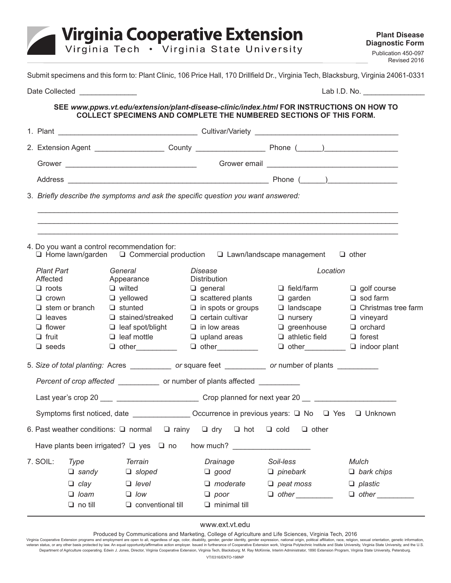

Submit specimens and this form to: Plant Clinic, 106 Price Hall, 170 Drillfield Dr., Virginia Tech, Blacksburg, Virginia 24061-0331

|                                                                                                       | Date Collected <b>COLLECT COLLECT</b> |                                                  | Lab I.D. No.                                                                                                                                                   |                                                    |                                  |
|-------------------------------------------------------------------------------------------------------|---------------------------------------|--------------------------------------------------|----------------------------------------------------------------------------------------------------------------------------------------------------------------|----------------------------------------------------|----------------------------------|
|                                                                                                       |                                       |                                                  | SEE www.ppws.vt.edu/extension/plant-disease-clinic/index.html FOR INSTRUCTIONS ON HOW TO<br>COLLECT SPECIMENS AND COMPLETE THE NUMBERED SECTIONS OF THIS FORM. |                                                    |                                  |
|                                                                                                       |                                       |                                                  |                                                                                                                                                                |                                                    |                                  |
|                                                                                                       |                                       |                                                  |                                                                                                                                                                |                                                    |                                  |
|                                                                                                       |                                       |                                                  |                                                                                                                                                                |                                                    |                                  |
|                                                                                                       |                                       |                                                  |                                                                                                                                                                |                                                    |                                  |
|                                                                                                       |                                       |                                                  | 3. Briefly describe the symptoms and ask the specific question you want answered:                                                                              |                                                    |                                  |
|                                                                                                       |                                       |                                                  |                                                                                                                                                                |                                                    |                                  |
|                                                                                                       |                                       |                                                  |                                                                                                                                                                |                                                    |                                  |
|                                                                                                       |                                       | 4. Do you want a control recommendation for:     |                                                                                                                                                                |                                                    |                                  |
|                                                                                                       |                                       |                                                  | $\Box$ Home lawn/garden $\Box$ Commercial production $\Box$ Lawn/landscape management                                                                          |                                                    | $\Box$ other                     |
| <b>Plant Part</b><br>Affected                                                                         |                                       | General<br>Appearance                            | Disease<br>Distribution                                                                                                                                        | Location                                           |                                  |
| $\Box$ roots                                                                                          |                                       | $\Box$ wilted                                    | $\Box$ general                                                                                                                                                 | $\Box$ field/farm                                  | $\Box$ golf course               |
| $\Box$ crown                                                                                          |                                       | $\Box$ yellowed                                  | $\Box$ scattered plants                                                                                                                                        | $\Box$ garden                                      | $\Box$ sod farm                  |
|                                                                                                       | $\Box$ stem or branch                 | $\Box$ stunted                                   | $\Box$ in spots or groups $\Box$ landscape                                                                                                                     |                                                    | $\Box$ Christmas tree farm       |
|                                                                                                       | $\Box$ leaves                         | $\Box$ stained/streaked                          | $\Box$ certain cultivar                                                                                                                                        | $\Box$ nursery                                     | $\Box$ vineyard                  |
| $\Box$ flower                                                                                         |                                       | $\Box$ leaf spot/blight                          | $\Box$ in low areas                                                                                                                                            | $\Box$ greenhouse                                  | $\Box$ orchard                   |
| $\Box$ fruit                                                                                          |                                       | $\Box$ leaf mottle                               | $\Box$ upland areas                                                                                                                                            | $\Box$ athletic field                              | $\Box$ forest                    |
| $\Box$ seeds                                                                                          |                                       | $\Box$ other                                     | $\Box$ other                                                                                                                                                   |                                                    | $\Box$ other $\Box$ indoor plant |
| 5. Size of total planting: Acres ____________ or square feet __________ or number of plants _________ |                                       |                                                  |                                                                                                                                                                |                                                    |                                  |
|                                                                                                       |                                       |                                                  | Percent of crop affected _____________ or number of plants affected ___________                                                                                |                                                    |                                  |
|                                                                                                       |                                       |                                                  | Last year's crop 20 ___ _____________________________Crop planned for next year 20 __ _______________________                                                  |                                                    |                                  |
|                                                                                                       | Symptoms first noticed, date          |                                                  |                                                                                                                                                                | Occurrence in previous years: □ No □ Yes □ Unknown |                                  |
|                                                                                                       |                                       | 6. Past weather conditions: $\Box$ normal        | $\Box$ rainy $\Box$ dry $\Box$ hot                                                                                                                             | $\Box$ cold<br>$\Box$ other                        |                                  |
|                                                                                                       |                                       | Have plants been irrigated? $\Box$ yes $\Box$ no | how much?                                                                                                                                                      |                                                    |                                  |
| 7. SOIL:                                                                                              | Type                                  | Terrain                                          | <b>Drainage</b>                                                                                                                                                | Soil-less                                          | <b>Mulch</b>                     |
|                                                                                                       | $\Box$ sandy                          | $\Box$ sloped                                    | $\Box$ good                                                                                                                                                    | $\Box$ pinebark                                    | $\Box$ bark chips                |
|                                                                                                       | $\Box$ clay                           | $\Box$ level                                     | $\Box$ moderate                                                                                                                                                | $\Box$ peat moss                                   | $\Box$ plastic                   |
|                                                                                                       | $\Box$ loam                           | $\Box$ low                                       | $\Box$ poor                                                                                                                                                    | $\Box$ other $\Box$                                | $\Box$ other $\Box$              |
|                                                                                                       | $\Box$ no till                        | $\Box$ conventional till                         | $\Box$ minimal till                                                                                                                                            |                                                    |                                  |

## www.ext.vt.edu

Produced by Communications and Marketing, College of Agriculture and Life Sciences, Virginia Tech, 2016

Virginia Cooperative Extension programs and employment are open to all, regardless of age, color, disability, gender, gender identity, gender expression, national origin, political affiliation, race, religion, sexual orien